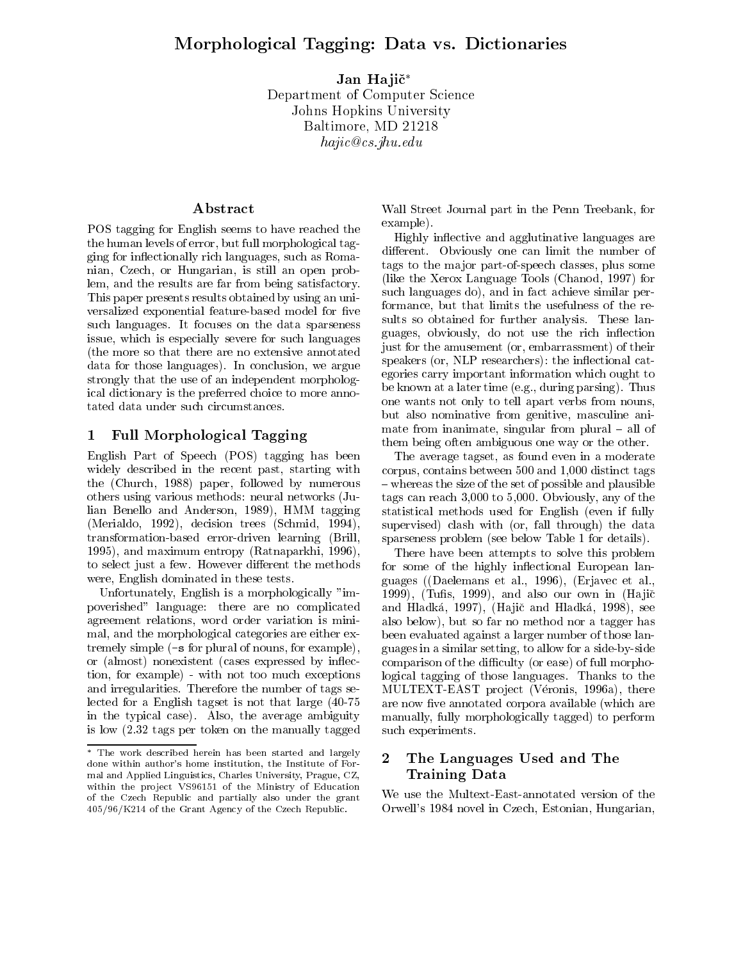Jan Hajič\* Department of Computer Science Johns Hopkins University Baltimore, MD <sup>21218</sup> hajic@cs.jhu.edu

# Abstract

POS tagging for English seems to have reached the the human levels of error, but full morphological tagging for in
ectionally rich languages, such as Romanian, Czech, or Hungarian, is still an open problem, and the results are far from being satisfactory. This paper presents results obtained by using an uni versalized exponential feature-based model for five such languages. It focuses on the data sparseness issue, which is especially severe for such languages (the more so that there are no extensive annotated data for those languages). In conclusion, we argue strongly that the use of an independent morphological dictionary is the preferred choice to more annotated data under such circumstances.

# 1 Full Morphological Tagging

English Part of Speech (POS) tagging has been widely described in the recent past, starting with the (Church, 1988) paper, followed by numerous others using various methods: neural networks (Julian Benello and Anderson, 1989), HMM tagging (Merialdo, 1992), decision trees (Schmid, 1994), transformation-based error-driven learning (Brill, 1995), and maximum entropy (Ratnaparkhi, 1996), to select just a few. However different the methods were, English dominated in these tests.

Unfortunately, English is a morphologically "impoverished" language: there are no complicated agreement relations, word order variation is minimal, and the morphological categories are either extremely simple (-s for plural of nouns, for example), or (almost) nonexistent (cases expressed by in
ection, for example) - with not too much exceptions and irregularities. Therefore the number of tags selected for a English tagset is not that large (40-75 in the typical case). Also, the average ambiguity is low (2.32 tags per token on the manually tagged Wall Street Journal part in the Penn Treebank, for example).

Highly in
ective and agglutinative languages are different. Obviously one can limit the number of tags to the ma jor part-of-speech classes, plus some (like the Xerox Language Tools (Chanod, 1997) for such languages do), and in fact achieve similar performance, but that limits the usefulness of the results so obtained for further analysis. These languages, obviously, do not use the rich inflection just for the amusement (or, embarrassment) of their speakers (or, NLP researchers): the inflectional categories carry important information which ought to be known at a later time (e.g., during parsing). Thus one wants not only to tell apart verbs from nouns, but also nominative from genitive, masculine animate from inanimate, singular from plural  ${\bf -}$  all of them being often ambiguous one way or the other.

The average tagset, as found even in a moderate corpus, contains between 500 and 1,000 distinct tags  $-$  whereas the size of the set of possible and plausible tags can reach 3,000 to 5,000. Obviously, any of the statistical methods used for English (even if fully supervised) clash with (or, fall through) the data sparseness problem (see below Table 1 for details).

There have been attempts to solve this problem for some of the highly inflectional European languages ((Daelemans et al., 1996), (Erjavec et al., 1999), (Tufis, 1999), and also our own in  $(Haji\check{c})$ and Hladká, 1997), (Hajič and Hladká, 1998), see also below), but so far no method nor a tagger has been evaluated against a larger number of those languages in a similar setting, to allow for a side-by-side comparison of the difficulty (or ease) of full morphological tagging of those languages. Thanks to the MULTEXT-EAST project (Véronis, 1996a), there are now five annotated corpora available (which are manually, fully morphologically tagged) to perform such experiments.

# The Languages Used and The Training Data

We use the Multext-East-annotated version of the Orwell's 1984 novel in Czech, Estonian, Hungarian,

The work described herein has been started and largely  $\gamma$ done within author's home institution, the Institute of Formal and Applied Linguistics, Charles University, Prague, CZ, within the project VS96151 of the Ministry of Education of the Czech Republic and partially also under the grant 405/96/K214 of the Grant Agency of the Czech Republic.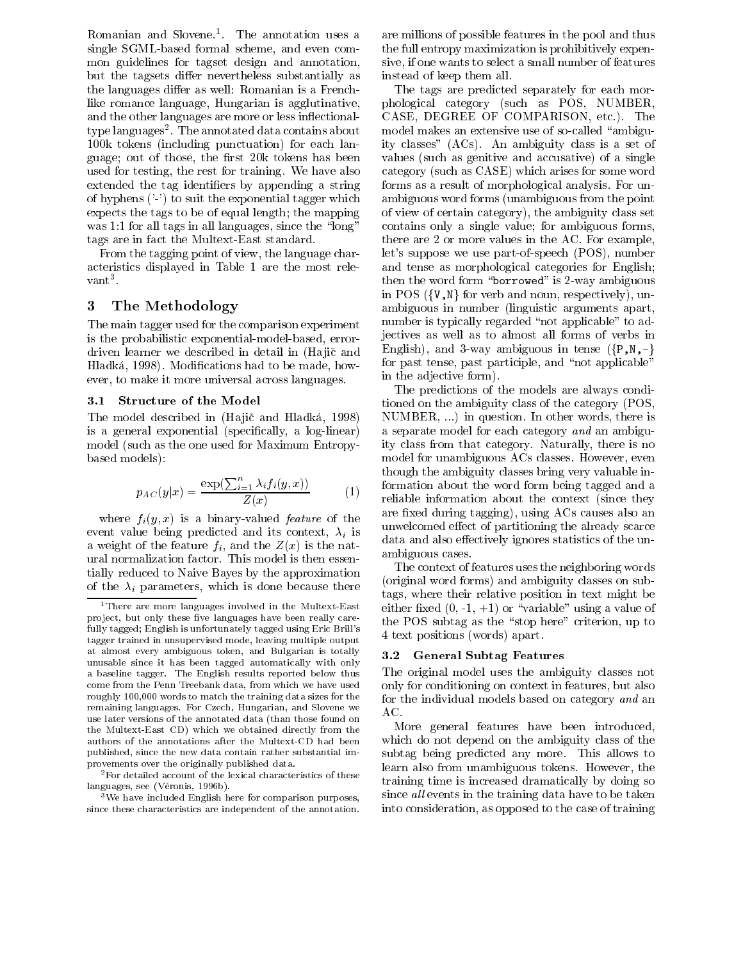Romanian and Slovene. I he annotation uses a laresingle SGML-based formal scheme, and even common guidelines for tagset design and annotation, but the tagsets differ nevertheless substantially as the languages differ as well: Romanian is a Frenchlike romance language, Hungarian is agglutinative, and the other languages are more or less inflectionaltype languages". I he annotated data contains about the mo 100k tokens (including punctuation) for each language; out of those, the first 20k tokens has been used for testing, the rest for training. We have also extended the tag identifiers by appending a string of hyphens ('-') to suit the exponential tagger which expects the tags to be of equal length; the mapping was  $1:1$  for all tags in all languages, since the "long" tags are in fact the Multext-East standard.

From the tagging point of view, the language characteristics displayed in Table 1 are the most rele vant van die stelling van die stelling van die stelling van die stelling van die stelling van die stelling van <br>3 met van die stelling van die stelling van die stelling van die stelling van die stelling van die stelling va

## 3 The Methodology

The main tagger used for the comparison experiment is the probabilistic exponential-model-based, errordriven learner we described in detail in (Hajič and Hladka, 1998). Modications had to be made, how ever, to make it more universal across languages.

### 3.1 Structure of the Model

The model described in (Hajič and Hladká, 1998) is a general exponential (specically, a log-linear) model (such as the one used for Maximum Entropybased models):

$$
p_{AC}(y|x) = \frac{\exp(\sum_{i=1}^{n} \lambda_i f_i(y, x))}{Z(x)} \tag{1}
$$

where  $f_i(y, x)$  is a binary-valued *feature* of the event value being predicted and its context,  $\lambda_i$  is a weight of the feature  $f_i$ , and the  $Z(x)$  is the natural normalization factor. This model is then essentially reduced to Naive Bayes by the approximation of the  $\lambda_i$  parameters, which is done because there

 $\frac{3}{3}$ We have included English here for comparison purposes, since these characteristics are independent of the annotation.

are millions of possible features in the pool and thus the full entropy maximization is prohibitively expensive, if one wants to select a small number of features instead of keep them all.

The tags are predicted separately for each morphological category (such as POS, NUMBER, CASE, DEGREE OF COMPARISON, etc.). The model makes an extensive use of so-called "ambiguity classes" (ACs). An ambiguity class is a set of values (such as genitive and accusative) of a single category (such as CASE) which arises for some word forms as a result of morphological analysis. For unambiguous word forms (unambiguous from the point of view of certain category), the ambiguity class set contains only a single value; for ambiguous forms, there are 2 or more values in the AC. For example, let's suppose we use part-of-speech (POS), number and tense as morphological categories for English; then the word form "borrowed" is 2-way ambiguous in POS  $({\tt \{V,N\}})$  for verb and noun, respectively), unambiguous in number (linguistic arguments apart, number is typically regarded "not applicable" to adjectives as well as to almost all forms of verbs in English), and 3-way ambiguous in tense  $({P,N,-}$ for past tense, past participle, and "not applicable" in the adjective form).

 $\degree$  reliable information about the context (since they The predictions of the models are always conditioned on the ambiguity class of the category (POS, NUMBER, ...) in question. In other words, there is a separate model for each category and an ambiguity class from that category. Naturally, there is no model for unambiguous ACs classes. However, even though the ambiguity classes bring very valuable information about the word form being tagged and a are fixed during tagging), using ACs causes also an unwelcomed effect of partitioning the already scarce data and also effectively ignores statistics of the unambiguous cases.

The context of features uses the neighboring words (original word forms) and ambiguity classes on subtags, where their relative position in text might be either fixed  $(0, -1, +1)$  or "variable" using a value of the POS subtag as the "stop here" criterion, up to 4 text positions (words) apart.

### 3.2 General Subtag Features

The original model uses the ambiguity classes not only for conditioning on context in features, but also for the individual models based on category and an AC.

More general features have been introduced, which do not depend on the ambiguity class of the subtag being predicted any more. This allows to learn also from unambiguous tokens. However, the training time is increased dramatically by doing so since all events in the training data have to be taken into consideration, as opposed to the case of training

<sup>&</sup>lt;sup>1</sup>There are more languages involved in the Multext-East project, but only these five languages have been really carefully tagged; English is unfortunately tagged using Eric Brill's tagger trained in unsupervised mode, leaving multiple output at almost every ambiguous token, and Bulgarian is totally unusable since it has been tagged automatically with only a baseline tagger. The English results reported below thus come from the Penn Treebank data, from which we have used roughly 100,000 words to match the training data sizes for the remaining languages. For Czech, Hungarian, and Slovene we use later versions of the annotated data (than those found on the Multext-East CD) which we obtained directly from the authors of the annotations after the Multext-CD had been published, since the new data contain rather substantial improvements over the originally published data.

<sup>&</sup>lt;sup>2</sup>For detailed account of the lexical characteristics of these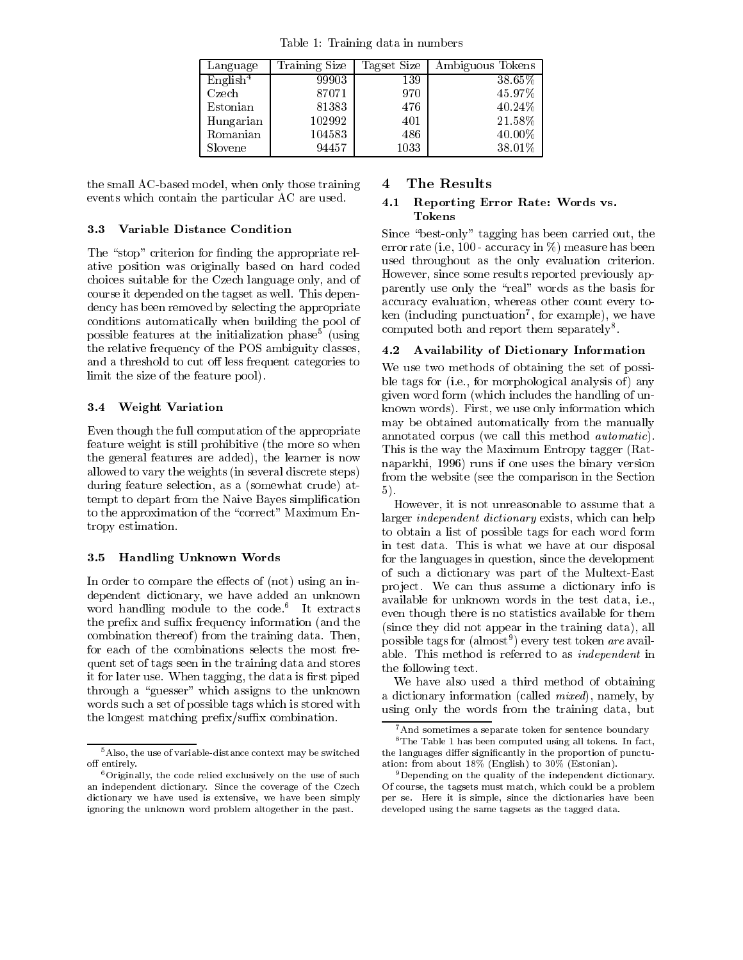Table 1: Training data in numbers

| Language             | Training Size | Tagset Size | Ambiguous Tokens |
|----------------------|---------------|-------------|------------------|
| English <sup>4</sup> | 99903         | 139         | 38.65%           |
| Czech                | 87071         | 970         | 45.97%           |
| Estonian             | 81383         | 476         | $40.24\%$        |
| Hungarian            | 102992        | 401         | 21.58%           |
| Romanian             | 104583        | 486         | 40.00%           |
| Slovene              | 94457         | $1033\,$    | 38.01%           |

the small AC-based model, when only those training events which contain the particular AC are used.

#### Variable Distance Condition 3.3

The "stop" criterion for finding the appropriate relative position was originally based on hard coded choices suitable for the Czech language only, and of course it depended on the tagset as well. This dependency has been removed by selecting the appropriate conditions automatically when building the pool of possible features at the initialization phase5 (using the relative frequency of the POS ambiguity classes, 4.2 and a threshold to cut off less frequent categories to limit the size of the feature pool).

## 3.4 Weight Variation

Even though the full computation of the appropriate feature weight is still prohibitive (the more so when the general features are added), the learner is now allowed to vary the weights (in several discrete steps) during feature selection, as a (somewhat crude) attempt to depart from the Naive Bayes simplication to the approximation of the "correct" Maximum Entropy estimation.

### 3.5 Handling Unknown Words

In order to compare the effects of (not) using an independent dictionary, we have added an unknown word handling module to the code. It extracts and the prefix and suffix frequency information (and the combination thereof ) from the training data. Then, for each of the combinations selects the most frequent set of tags seen in the training data and stores it for later use. When tagging, the data is first piped through a "guesser" which assigns to the unknown words such a set of possible tags which is stored with the longest matching prefix/suffix combination.

#### The Results 4

#### 4.1 Reporting Error Rate: Words vs. Tokens

Since \best-only" tagging has been carried out, the error rate (i.e, 100 - accuracy in %) measure has been used throughout as the only evaluation criterion. However, since some results reported previously apparently use only the \real" words as the basis for accuracy evaluation, whereas other count every token (including punctuation), for example), we have computed both and report them separately<sup>8</sup>.

### Availability of Dictionary Information

We use two methods of obtaining the set of possible tags for (i.e., for morphological analysis of) any given word form (which includes the handling of unknown words). First, we use only information which may be obtained automatically from the manually annotated corpus (we call this method automatic). This is the way the Maximum Entropy tagger (Ratnaparkhi, 1996) runs if one uses the binary version from the website (see the comparison in the Section 5).

However, it is not unreasonable to assume that a larger independent dictionary exists, which can help to obtain a list of possible tags for each word form in test data. This is what we have at our disposal for the languages in question, since the development of such a dictionary was part of the Multext-East pro ject. We can thus assume a dictionary info is available for unknown words in the test data, i.e., even though there is no statistics available for them (since they did not appear in the training data), all possible tags for (almost- ) every test token *are* available. This method is referred to as independent in the following text.

We have also used a third method of obtaining a dictionary information (called mixed), namely, by using only the words from the training data, but

<sup>5</sup>Also, the use of variable-distance context may be switched off entirely.

 $6$ Originally, the code relied exclusively on the use of such an independent dictionary. Since the coverage of the Czech dictionary we have used is extensive, we have been simply ignoring the unknown word problem altogether in the past.

<sup>&</sup>lt;sup>7</sup> And sometimes a separate token for sentence boundary

<sup>8</sup>The Table 1 has been computed using all tokens. In fact, the languages differ significantly in the proportion of punctuation: from about 18% (English) to 30% (Estonian).

<sup>&</sup>lt;sup>9</sup>Depending on the quality of the independent dictionary. Of course, the tagsets must match, which could be a problem per se. Here it is simple, since the dictionaries have been developed using the same tagsets as the tagged data.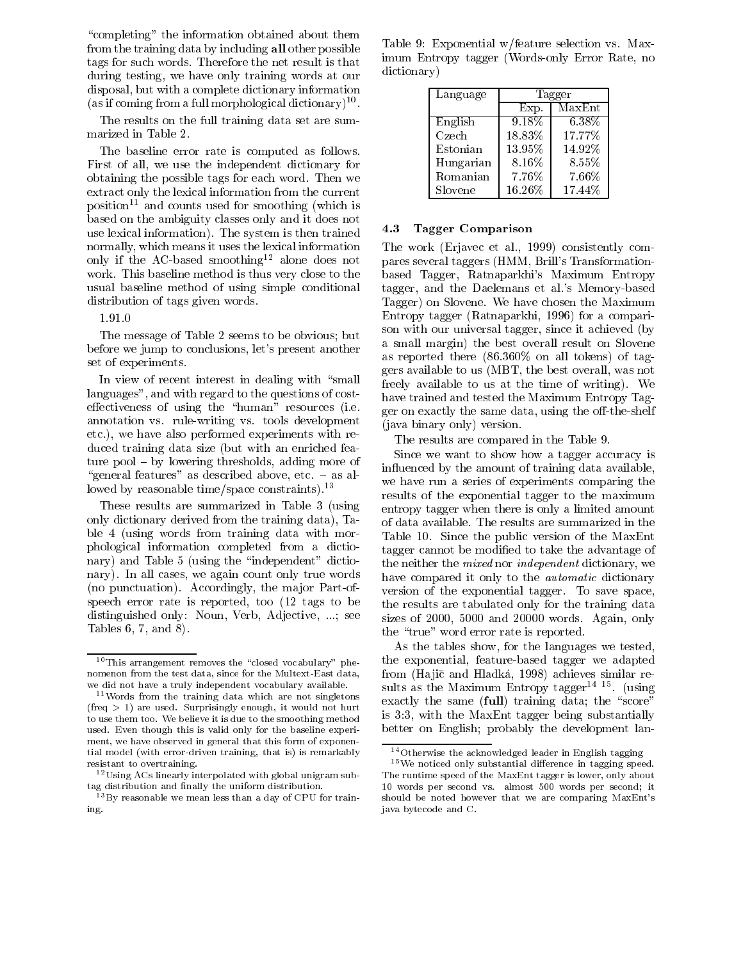"completing" the information obtained about them from the training data by including all other possible tags for such words. Therefore the net result is that during testing, we have only training words at our disposal, but with a complete dictionary information (as if coming from a full morphological dictionary) \*\*.

The results on the full training data set are summarized in Table 2.

The baseline error rate is computed as follows. First of all, we use the independent dictionary for obtaining the possible tags for each word. Then we extract only the lexical information from the current  $position<sup>11</sup>$  and counts used for smoothing (which is based on the ambiguity classes only and it does not use lexical information). The system is then trained normally, which means it uses the lexical information only if the AC-based smoothing12 alone does not work. This baseline method is thus very close to the usual baseline method of using simple conditional distribution of tags given words.

1.91.0

The message of Table 2 seems to be obvious; but before we jump to conclusions, let's present another set of experiments.

In view of recent interest in dealing with "small languages", and with regard to the questions of costeffectiveness of using the "human" resources (i.e. annotation vs. rule-writing vs. tools development etc.), we have also performed experiments with reduced training data size (but with an enriched feature  $pool - by lowering thresholds, adding more of$ "general features" as described above, etc.  $-$  as allowed by reasonable time/space constraints).<sup>13</sup>

These results are summarized in Table 3 (using only dictionary derived from the training data), Table 4 (using words from training data with morphological information completed from a dictionary) and Table 5 (using the "independent" dictionary). In all cases, we again count only true words (no punctuation). Accordingly, the major Part-ofspeech error rate is reported, too (12 tags to be distinguished only: Noun, Verb, Adjective, ...; see Tables 6, 7, and 8).

Table 9: Exponential w/feature selection vs. Maximum Entropy tagger (Words-only Error Rate, no dictionary)

| Language  | Tagger    |          |  |
|-----------|-----------|----------|--|
|           | Exp.      | MaxEnt   |  |
| English   | $9.18\%$  | 6.38%    |  |
| Czech     | 18.83%    | 17.77%   |  |
| Estonian  | $13.95\%$ | 14.92%   |  |
| Hungarian | 8.16%     | 8.55%    |  |
| Romanian  | 7.76%     | $7.66\%$ |  |
| Slovene   | 16.26%    | 17.44%   |  |

### 4.3 Tagger Comparison

The work (Erjavec et al., 1999) consistently compares several taggers (HMM, Brill's Transformationbased Tagger, Ratnaparkhi's Maximum Entropy tagger, and the Daelemans et al.'s Memory-based Tagger) on Slovene. We have chosen the Maximum Entropy tagger (Ratnaparkhi, 1996) for a comparison with our universal tagger, since it achieved (by a small margin) the best overall result on Slovene as reported there (86.360% on all tokens) of taggers available to us (MBT, the best overall, was not freely available to us at the time of writing). We have trained and tested the Maximum Entropy Tagger on exactly the same data, using the off-the-shelf (java binary only) version.

The results are compared in the Table 9.

Since we want to show how a tagger accuracy is in
uenced by the amount of training data available, we have run a series of experiments comparing the results of the exponential tagger to the maximum entropy tagger when there is only a limited amount of data available. The results are summarized in the Table 10. Since the public version of the MaxEnt tagger cannot be modied to take the advantage of the neither the mixed nor independent dictionary, we have compared it only to the automatic dictionary version of the exponential tagger. To save space, the results are tabulated only for the training data sizes of 2000, 5000 and 20000 words. Again, only the "true" word error rate is reported.

As the tables show, for the languages we tested, the exponential, feature-based tagger we adapted from (Hajič and Hladká, 1998) achieves similar resuits as the Maximum Entropy tagger<sup>-----</sup> tusing exactly the same  $(full)$  training data; the "score" is 3:3, with the MaxEnt tagger being substantially better on English; probably the development lan-

 $10$ This arrangement removes the "closed vocabulary" phenomenon from the test data, since for the Multext-East data, we did not have a truly independent vocabulary available.

<sup>11</sup>Words from the training data which are not singletons  $(freq > 1)$  are used. Surprisingly enough, it would not hurt to use them too. We believe it is due to the smoothing method used. Even though this is valid only for the baseline experi ment, we have observed in general that this form of exponential model (with error-driven training, that is) is remarkably resistant to overtraining.

<sup>12</sup>Using ACs linearly interpolated with global unigram sub-

 $13By$  reasonable we mean less than a day of CPU for training.

<sup>14</sup>Otherwise the acknowledged leader in English tagging

 $15$  We noticed only substantial difference in tagging speed. The runtime speed of the MaxEnt tagger is lower, only about 10 words per second vs. almost 500 words per second; it should be noted however that we are comparing MaxEnt's java bytecode and C.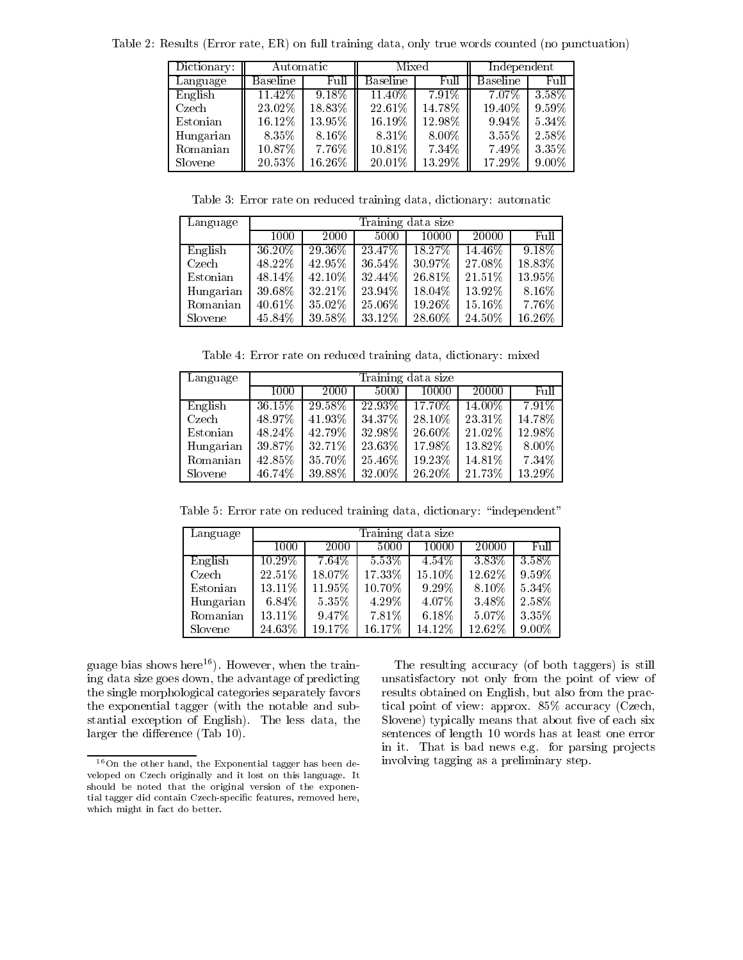| Dictionary: | Automatic       |           | Mixed           |           | Independent |          |
|-------------|-----------------|-----------|-----------------|-----------|-------------|----------|
| Language    | <b>Baseline</b> | Full      | <b>Baseline</b> | Full      | Baseline    | Full     |
| English     | 11.42%          | $9.18\%$  | $11.40\%$       | $7.91\%$  | $7.07\%$    | $3.58\%$ |
| Czech       | 23.02%          | 18.83%    | 22.61%          | 14.78%    | 19.40%      | $9.59\%$ |
| Estonian    | 16.12\%         | $13.95\%$ | 16.19%          | $12.98\%$ | $9.94\%$    | $5.34\%$ |
| Hungarian   | $8.35\%$        | $8.16\%$  | 8.31%           | $8.00\%$  | 3.55%       | 2.58\%   |
| Romanian    | $10.87\%$       | $7.76\%$  | $10.81\%$       | 7.34%     | 7.49%       | 3.35%    |
| Slovene     | 20.53%          | $16.26\%$ | $20.01\%$       | $13.29\%$ | 17.29%      | $9.00\%$ |

Table 2: Results (Error rate, ER) on full training data, only true words counted (no punctuation)

Table 3: Error rate on reduced training data, dictionary: automatic

| Language  |           | Training data size |         |           |           |           |  |  |  |
|-----------|-----------|--------------------|---------|-----------|-----------|-----------|--|--|--|
|           | 1000      | 2000               | 5000    | 10000     | 20000     | Full      |  |  |  |
| English   | $36.20\%$ | $29.36\%$          | 23.47\% | 18.27%    | $14.46\%$ | $9.18\%$  |  |  |  |
| Czech     | 48.22%    | 42.95%             | 36.54%  | 30.97%    | 27.08%    | 18.83%    |  |  |  |
| Estonian  | 48.14%    | 42.10%             | 32.44%  | 26.81%    | 21.51%    | 13.95%    |  |  |  |
| Hungarian | 39.68%    | 32.21%             | 23.94%  | 18.04%    | $13.92\%$ | 8.16%     |  |  |  |
| Romanian  | 40.61%    | 35.02%             | 25.06%  | $19.26\%$ | 15.16%    | 7.76%     |  |  |  |
| Slovene   | 45.84%    | 39 58%             | 33.12%  | 28.60%    | 24.50%    | $16.26\%$ |  |  |  |

Table 4: Error rate on reduced training data, dictionary: mixed

| Language  |        | Training data size |           |           |           |           |  |  |  |
|-----------|--------|--------------------|-----------|-----------|-----------|-----------|--|--|--|
|           | 1000   | 2000               | 5000      | 10000     | 20000     | Full.     |  |  |  |
| English   | 36.15% | $29.58\%$          | $22.93\%$ | 17.70\%   | $14.00\%$ | $7.91\%$  |  |  |  |
| Czech     | 48.97% | 41.93%             | 34.37%    | 28.10\%   | 23.31%    | $14.78\%$ |  |  |  |
| Estonian  | 48.24% | 42.79%             | 32.98%    | $26.60\%$ | 21.02%    | 12.98%    |  |  |  |
| Hungarian | 39.87% | 32.71%             | 23.63%    | 17.98%    | 13.82\%   | 8.00%     |  |  |  |
| Romanian  | 42.85% | 35 70%             | 25.46%    | 19.23%    | 14.81%    | 7.34%     |  |  |  |
| Slovene   | 46.74% | 39.88%             | 32.00%    | 26.20%    | 21.73%    | 13.29%    |  |  |  |

Table 5: Error rate on reduced training data, dictionary: "independent"

| Language  |           | Training data size |          |          |          |           |  |  |  |
|-----------|-----------|--------------------|----------|----------|----------|-----------|--|--|--|
|           | 1000      | 2000               | 5000     | 10000    | 20000    | Full      |  |  |  |
| English   | $10.29\%$ | $7.64\%$           | $5.53\%$ | $4.54\%$ | $3.83\%$ | $3\,58\%$ |  |  |  |
| Czech     | 22.51%    | 18.07%             | 17.33%   | 15.10%   | 12.62%   | 9.59%     |  |  |  |
| Estonian  | 13.11%    | $11.95\%$          | 10.70%   | $9.29\%$ | 8.10%    | 5.34%     |  |  |  |
| Hungarian | $6.84\%$  | $5.35\%$           | 4.29%    | 4.07%    | 3 4 8 %  | 2.58%     |  |  |  |
| Romanian  | 13.11\%   | $9.47\%$           | $7.81\%$ | $6.18\%$ | 5.07%    | 335%      |  |  |  |
| Slovene   | 24.63%    | 19.17%             | 16.17%   | 14.12%   | 12.62%   | 9.00%     |  |  |  |

guage bias shows here<sup>16</sup>). However, when the training data size goes down, the advantage of predicting the single morphological categories separately favors the exponential tagger (with the notable and substantial exception of English). The less data, the larger the difference (Tab 10).

The resulting accuracy (of both taggers) is still unsatisfactory not only from the point of view of results obtained on English, but also from the practical point of view: approx. 85% accuracy (Czech, Slovene) typically means that about five of each six sentences of length 10 words has at least one error in it. That is bad news e.g. for parsing projects involving tagging as a preliminary step.

<sup>16</sup>On the other hand, the Exponential tagger has been de veloped on Czech originally and it lost on this language. It should be noted that the original version of the exponential tagger did contain Czech-specic features, removed here, which might in fact do better.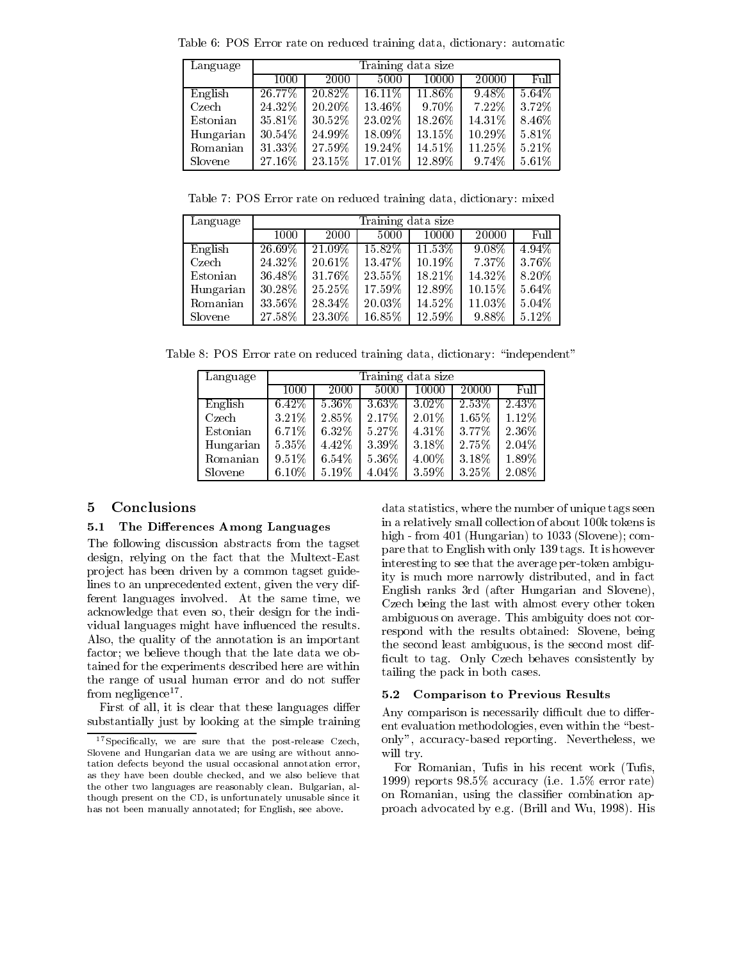| Language  |           | Training data size |           |           |          |          |  |  |  |
|-----------|-----------|--------------------|-----------|-----------|----------|----------|--|--|--|
|           | 1000      | 2000               | 5000      | 10000     | 20000    | Full     |  |  |  |
| English   | $26.77\%$ | $20.82\%$          | $16.11\%$ | $11.86\%$ | $9.48\%$ | $5.64\%$ |  |  |  |
| Czech     | 24.32%    | 20.20\%            | 13.46%    | 9.70%     | $7.22\%$ | 3.72%    |  |  |  |
| Estonian  | 35.81%    | 30.52%             | 23.02%    | 18.26%    | 14.31%   | 8.46%    |  |  |  |
| Hungarian | 30.54%    | 24.99%             | 18.09%    | 13.15%    | 10.29%   | 5.81%    |  |  |  |
| Romanian  | 31.33%    | 27.59%             | 19.24%    | 14.51%    | 11.25%   | 5.21%    |  |  |  |
| Slovene   | 27.16%    | 23.15\%            | 17.01\%   | 12.89%    | 9.74%    | $5.61\%$ |  |  |  |

Table 6: POS Error rate on reduced training data, dictionary: automatic

Table 7: POS Error rate on reduced training data, dictionary: mixed

| Language  |           | Training data size |           |           |          |          |  |  |
|-----------|-----------|--------------------|-----------|-----------|----------|----------|--|--|
|           | 1000      | 2000               | 5000      | 10000     | 20000    | Full     |  |  |
| English   | $26.69\%$ | $21.09\%$          | $15.82\%$ | $11.53\%$ | $9.08\%$ | $4.94\%$ |  |  |
| Czech     | 24.32%    | $20.61\%$          | 13.47%    | $10.19\%$ | $7.37\%$ | 3.76%    |  |  |
| Estonian  | 36.48%    | $31.76\%$          | $23.55\%$ | 18.21%    | 14.32\%  | 8.20%    |  |  |
| Hungarian | 30.28%    | $25.25\%$          | $17.59\%$ | 12.89%    | 10.15%   | $5.64\%$ |  |  |
| Romanian  | 33.56%    | 28.34%             | $20.03\%$ | 14.52%    | 11.03%   | $5.04\%$ |  |  |
| Slovene   | 27.58%    | 23.30%             | 16.85%    | 12.59%    | 9.88%    | $5.12\%$ |  |  |

Table 8: POS Error rate on reduced training data, dictionary: "independent"

| Language  |          | Training data size |          |          |          |          |  |  |  |
|-----------|----------|--------------------|----------|----------|----------|----------|--|--|--|
|           | 1000     | 2000               | 5000     | 10000    | 20000    | Full     |  |  |  |
| English   | $6.42\%$ | $5.36\%$           | $3.63\%$ | $3.02\%$ | $2.53\%$ | $2.43\%$ |  |  |  |
| Czech     | 3.21%    | 2.85%              | 2.17%    | $2.01\%$ | 1.65%    | $1.12\%$ |  |  |  |
| Estonian  | 6.71%    | 6.32%              | 5.27%    | $4.31\%$ | 377%     | 2.36%    |  |  |  |
| Hungarian | $5.35\%$ | 4.42%              | 3 3 9 %  | 3.18%    | 2.75%    | 2.04%    |  |  |  |
| Romanian  | $9.51\%$ | 6.54%              | 5.36%    | $4.00\%$ | 3.18%    | 1.89%    |  |  |  |
| Slovene   | $6.10\%$ | $5.19\%$           | 4.04%    | 3.59%    | 3.25%    | 2.08%    |  |  |  |

## 5 Conclusions

## 5.1 The Differences Among Languages

The following discussion abstracts from the tagset design, relying on the fact that the Multext-East project has been driven by a common tagset guidelines to an unprecedented extent, given the very different languages involved. At the same time, we acknowledge that even so, their design for the individual languages might have influenced the results. Also, the quality of the annotation is an important factor; we believe though that the late data we obtained for the experiments described here are within the range of usual human error and do not suffer from negligence17 .

First of all, it is clear that these languages differ substantially just by looking at the simple training data statistics, where the number of unique tags seen in a relatively small collection of about 100k tokens is high - from 401 (Hungarian) to 1033 (Slovene); compare that to English with only 139 tags. It is however interesting to see that the average per-token ambiguity is much more narrowly distributed, and in fact English ranks 3rd (after Hungarian and Slovene), Czech being the last with almost every other token ambiguous on average. This ambiguity does not correspond with the results obtained: Slovene, being the second least ambiguous, is the second most dif ficult to tag. Only Czech behaves consistently by tailing the pack in both cases.

## 5.2 Comparison to Previous Results

Any comparison is necessarily difficult due to different evaluation methodologies, even within the "bestonly", accuracy-based reporting. Nevertheless, we will try.

For Romanian, Tufis in his recent work (Tufis, 1999) reports 98.5% accuracy (i.e. 1.5% error rate) on Romanian, using the classifier combination approach advocated by e.g. (Brill and Wu, 1998). His

<sup>&</sup>lt;sup>17</sup> Specifically, we are sure that the post-release Czech, Slovene and Hungarian data we are using are without annotation defects beyond the usual occasional annotation error, as they have been double checked, and we also believe that the other two languages are reasonably clean. Bulgarian, although present on the CD, is unfortunately unusable since it has not been manually annotated; for English, see above.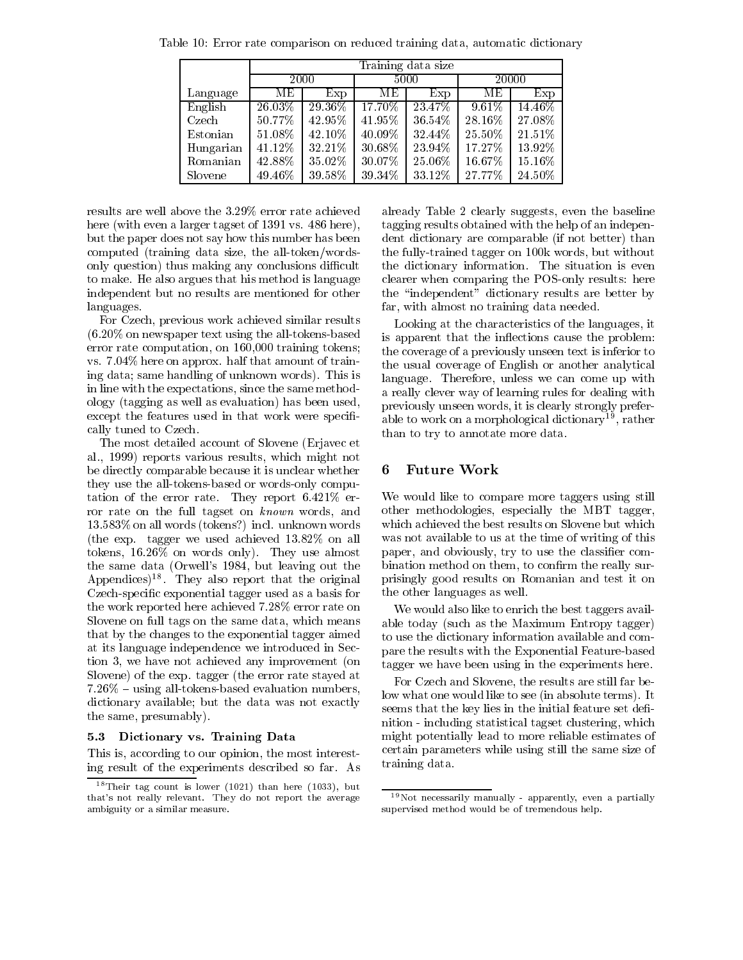|           |           | Training data size |           |           |           |           |  |  |  |
|-----------|-----------|--------------------|-----------|-----------|-----------|-----------|--|--|--|
|           | 2000      |                    |           | 5000      |           | 20000     |  |  |  |
| Language  | MЕ        | Exp                | MЕ        | Exp       | MЕ        | Exp       |  |  |  |
| English   | $26.03\%$ | 29.36\%            | $17.70\%$ | 23.47\%   | 9.61%     | $14.46\%$ |  |  |  |
| Czech     | 50.77%    | 42.95%             | 41.95%    | $36.54\%$ | 28.16%    | 27.08%    |  |  |  |
| Estonian  | 51.08%    | 42.10%             | 40.09%    | 32.44%    | $25.50\%$ | 21.51\%   |  |  |  |
| Hungarian | 41.12%    | 32.21%             | 30.68%    | 23.94%    | 17.27%    | 13.92%    |  |  |  |
| Romanian  | 42.88%    | 35.02%             | 30.07%    | 25.06%    | 16.67%    | 15.16%    |  |  |  |
| Slovene   | 49.46%    | 39.58%             | 39.34\%   | 33.12%    | 27.77%    | 24.50%    |  |  |  |

Table 10: Error rate comparison on reduced training data, automatic dictionary

results are well above the 3.29% error rate achieved here (with even a larger tagset of 1391 vs. 486 here), but the paper does not say how this number has been computed (training data size, the all-token/wordsonly question) thus making any conclusions difficult to make. He also argues that his method is language independent but no results are mentioned for other languages.

For Czech, previous work achieved similar results (6.20% on newspaper text using the all-tokens-based error rate computation, on 160,000 training tokens; vs. 7.04% here on approx. half that amount of training data; same handling of unknown words). This is in line with the expectations, since the same methodology (tagging as well as evaluation) has been used, except the features used in that work were specifically tuned to Czech.

The most detailed account of Slovene (Erjavec et al., 1999) reports various results, which might not be directly comparable because it is unclear whether they use the all-tokens-based or words-only computation of the error rate. They report 6.421% error rate on the full tagset on known words, and 13.583% on all words (tokens?) incl. unknown words (the exp. tagger we used achieved 13.82% on all tokens, 16.26% on words only). They use almost the same data (Orwell's 1984, but leaving out the Appendices) . They also report that the original th Czech-specic exponential tagger used as a basis for the work reported here achieved 7.28% error rate on Slovene on full tags on the same data, which means that by the changes to the exponential tagger aimed at its language independence we introduced in Section 3, we have not achieved any improvement (on Slovene) of the exp. tagger (the error rate stayed at  $7.26\%$  – using all-tokens-based evaluation numbers, dictionary available; but the data was not exactly the same, presumably).

## 5.3 Dictionary vs. Training Data

This is, according to our opinion, the most interesting result of the experiments described so far. As already Table 2 clearly suggests, even the baseline tagging results obtained with the help of an independent dictionary are comparable (if not better) than the fully-trained tagger on 100k words, but without the dictionary information. The situation is even clearer when comparing the POS-only results: here the \independent" dictionary results are better by far, with almost no training data needed.

Looking at the characteristics of the languages, it is apparent that the inflections cause the problem: the coverage of a previously unseen text is inferior to the usual coverage of English or another analytical language. Therefore, unless we can come up with a really clever way of learning rules for dealing with previously unseen words, it is clearly strongly preferable to work on a morphological dictionary<sup>19</sup>, rather than to try to annotate more data.

#### Future Work 6

We would like to compare more taggers using still other methodologies, especially the MBT tagger, which achieved the best results on Slovene but which was not available to us at the time of writing of this paper, and obviously, try to use the classier combination method on them, to confirm the really surprisingly good results on Romanian and test it on the other languages as well.

We would also like to enrich the best taggers available today (such as the Maximum Entropy tagger) to use the dictionary information available and compare the results with the Exponential Feature-based tagger we have been using in the experiments here.

For Czech and Slovene, the results are still far below what one would like to see (in absolute terms). It seems that the key lies in the initial feature set definition - including statistical tagset clustering, which might potentially lead to more reliable estimates of certain parameters while using still the same size of training data.

 $18$  Their tag count is lower (1021) than here (1033), but that's not really relevant. They do not report the average ambiguity or a similar measure.

<sup>19</sup>Not necessarily manually - apparently, even a partially supervised method would be of tremendous help.